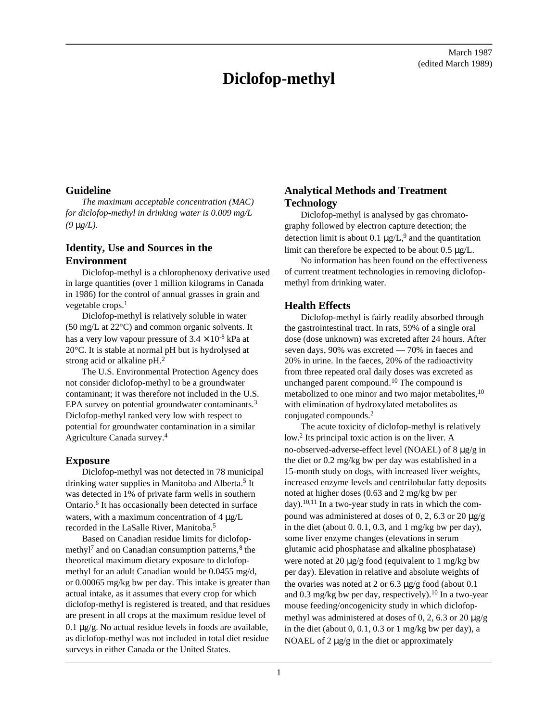# **Diclofop-methyl**

March 1987 (edited March 1989)

### **Guideline**

*The maximum acceptable concentration (MAC) for diclofop-methyl in drinking water is 0.009 mg/L (9* μ*g/L).*

## **Identity, Use and Sources in the Environment**

Diclofop-methyl is a chlorophenoxy derivative used in large quantities (over 1 million kilograms in Canada in 1986) for the control of annual grasses in grain and vegetable crops.<sup>1</sup>

Diclofop-methyl is relatively soluble in water (50 mg/L at 22°C) and common organic solvents. It has a very low vapour pressure of  $3.4 \times 10^{-8}$  kPa at 20°C. It is stable at normal pH but is hydrolysed at strong acid or alkaline pH.<sup>2</sup>

The U.S. Environmental Protection Agency does not consider diclofop-methyl to be a groundwater contaminant; it was therefore not included in the U.S. EPA survey on potential groundwater contaminants.<sup>3</sup> Diclofop-methyl ranked very low with respect to potential for groundwater contamination in a similar Agriculture Canada survey.<sup>4</sup>

#### **Exposure**

Diclofop-methyl was not detected in 78 municipal drinking water supplies in Manitoba and Alberta.<sup>5</sup> It was detected in 1% of private farm wells in southern Ontario.<sup>6</sup> It has occasionally been detected in surface waters, with a maximum concentration of 4 μg/L recorded in the LaSalle River, Manitoba.<sup>5</sup>

Based on Canadian residue limits for diclofopmethyl<sup>7</sup> and on Canadian consumption patterns,  $8$  the theoretical maximum dietary exposure to diclofopmethyl for an adult Canadian would be 0.0455 mg/d, or 0.00065 mg/kg bw per day. This intake is greater than actual intake, as it assumes that every crop for which diclofop-methyl is registered is treated, and that residues are present in all crops at the maximum residue level of 0.1 μg/g. No actual residue levels in foods are available, as diclofop-methyl was not included in total diet residue surveys in either Canada or the United States.

### **Analytical Methods and Treatment Technology**

Diclofop-methyl is analysed by gas chromatography followed by electron capture detection; the detection limit is about 0.1  $\mu$ g/L,<sup>9</sup> and the quantitation limit can therefore be expected to be about 0.5 μg/L.

No information has been found on the effectiveness of current treatment technologies in removing diclofopmethyl from drinking water.

#### **Health Effects**

Diclofop-methyl is fairly readily absorbed through the gastrointestinal tract. In rats, 59% of a single oral dose (dose unknown) was excreted after 24 hours. After seven days, 90% was excreted — 70% in faeces and 20% in urine. In the faeces, 20% of the radioactivity from three repeated oral daily doses was excreted as unchanged parent compound.10 The compound is metabolized to one minor and two major metabolites,<sup>10</sup> with elimination of hydroxylated metabolites as conjugated compounds.<sup>2</sup>

The acute toxicity of diclofop-methyl is relatively low.<sup>2</sup> Its principal toxic action is on the liver. A no-observed-adverse-effect level (NOAEL) of 8 μg/g in the diet or 0.2 mg/kg bw per day was established in a 15-month study on dogs, with increased liver weights, increased enzyme levels and centrilobular fatty deposits noted at higher doses (0.63 and 2 mg/kg bw per day).<sup>10,11</sup> In a two-year study in rats in which the compound was administered at doses of 0, 2, 6.3 or 20 μg/g in the diet (about 0. 0.1, 0.3, and 1 mg/kg bw per day), some liver enzyme changes (elevations in serum glutamic acid phosphatase and alkaline phosphatase) were noted at 20 μg/g food (equivalent to 1 mg/kg bw per day). Elevation in relative and absolute weights of the ovaries was noted at 2 or  $6.3 \mu g/g$  food (about 0.1 and 0.3 mg/kg bw per day, respectively).<sup>10</sup> In a two-year mouse feeding/oncogenicity study in which diclofopmethyl was administered at doses of 0, 2, 6.3 or 20 μg/g in the diet (about 0, 0.1, 0.3 or 1 mg/kg bw per day), a NOAEL of  $2 \mu g/g$  in the diet or approximately